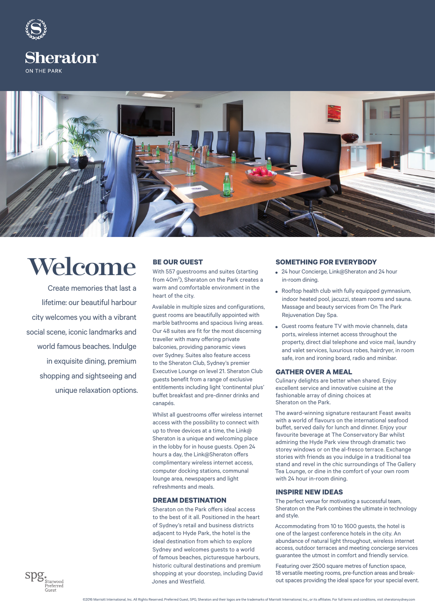

ON THE PARK



# Welcome

Create memories that last a lifetime: our beautiful harbour city welcomes you with a vibrant social scene, iconic landmarks and world famous beaches. Indulge in exquisite dining, premium shopping and sightseeing and unique relaxation options.

### **BE OUR GUEST**

With 557 guestrooms and suites (starting from 40m<sup>2</sup>), Sheraton on the Park creates a warm and comfortable environment in the heart of the city.

Available in multiple sizes and configurations, guest rooms are beautifully appointed with marble bathrooms and spacious living areas. Our 48 suites are fit for the most discerning traveller with many offering private balconies, providing panoramic views over Sydney. Suites also feature access to the Sheraton Club, Sydney's premier Executive Lounge on level 21. Sheraton Club guests benefit from a range of exclusive entitlements including light 'continental plus' buffet breakfast and pre-dinner drinks and canapés.

Whilst all guestrooms offer wireless internet access with the possibility to connect with up to three devices at a time, the Link@ Sheraton is a unique and welcoming place in the lobby for in house guests. Open 24 hours a day, the Link@Sheraton offers complimentary wireless internet access, computer docking stations, communal lounge area, newspapers and light refreshments and meals.

### **DREAM DESTINATION**

Sheraton on the Park offers ideal access to the best of it all. Positioned in the heart of Sydney's retail and business districts adjacent to Hyde Park, the hotel is the ideal destination from which to explore Sydney and welcomes guests to a world of famous beaches, picturesque harbours, historic cultural destinations and premium shopping at your doorstep, including David Jones and Westfield.

#### **SOMETHING FOR EVERYBODY**

- 24 hour Concierge, Link@Sheraton and 24 hour in-room dining.
- Rooftop health club with fully equipped gymnasium, indoor heated pool, jacuzzi, steam rooms and sauna. Massage and beauty services from On The Park Rejuvenation Day Spa.
- Guest rooms feature TV with movie channels, data ports, wireless internet access throughout the property, direct dial telephone and voice mail, laundry and valet services, luxurious robes, hairdryer, in room safe, iron and ironing board, radio and minibar.

#### **GATHER OVER A MEAL**

Culinary delights are better when shared. Enjoy excellent service and innovative cuisine at the fashionable array of dining choices at Sheraton on the Park.

The award-winning signature restaurant Feast awaits with a world of flavours on the international seafood buffet, served daily for lunch and dinner. Enjoy your favourite beverage at The Conservatory Bar whilst admiring the Hyde Park view through dramatic two storey windows or on the al-fresco terrace. Exchange stories with friends as you indulge in a traditional tea stand and revel in the chic surroundings of The Gallery Tea Lounge, or dine in the comfort of your own room with 24 hour in-room dining.

#### **INSPIRE NEW IDEAS**

The perfect venue for motivating a successful team, Sheraton on the Park combines the ultimate in technology and style.

Accommodating from 10 to 1600 guests, the hotel is one of the largest conference hotels in the city. An abundance of natural light throughout, wireless internet access, outdoor terraces and meeting concierge services guarantee the utmost in comfort and friendly service.

Featuring over 2500 square metres of function space, 18 versatile meeting rooms, pre-function areas and breakout spaces providing the ideal space for your special event.